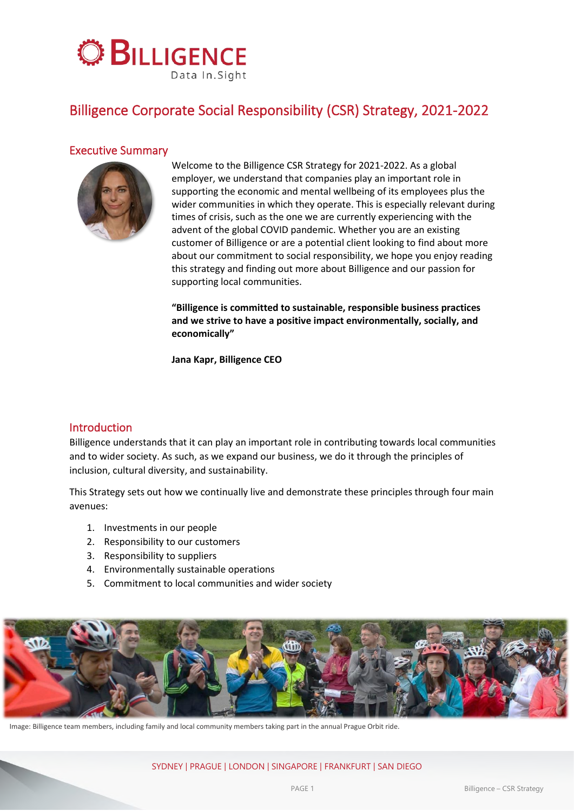

# Billigence Corporate Social Responsibility (CSR) Strategy, 2021-2022

# Executive Summary



Welcome to the Billigence CSR Strategy for 2021-2022. As a global employer, we understand that companies play an important role in supporting the economic and mental wellbeing of its employees plus the wider communities in which they operate. This is especially relevant during times of crisis, such as the one we are currently experiencing with the advent of the global COVID pandemic. Whether you are an existing customer of Billigence or are a potential client looking to find about more about our commitment to social responsibility, we hope you enjoy reading this strategy and finding out more about Billigence and our passion for supporting local communities.

**"Billigence is committed to sustainable, responsible business practices and we strive to have a positive impact environmentally, socially, and economically"**

**Jana Kapr, Billigence CEO**

## Introduction

Billigence understands that it can play an important role in contributing towards local communities and to wider society. As such, as we expand our business, we do it through the principles of inclusion, cultural diversity, and sustainability.

This Strategy sets out how we continually live and demonstrate these principles through four main avenues:

- 1. Investments in our people
- 2. Responsibility to our customers
- 3. Responsibility to suppliers
- 4. Environmentally sustainable operations
- 5. Commitment to local communities and wider society



Image: Billigence team members, including family and local community members taking part in the annual Prague Orbit ride.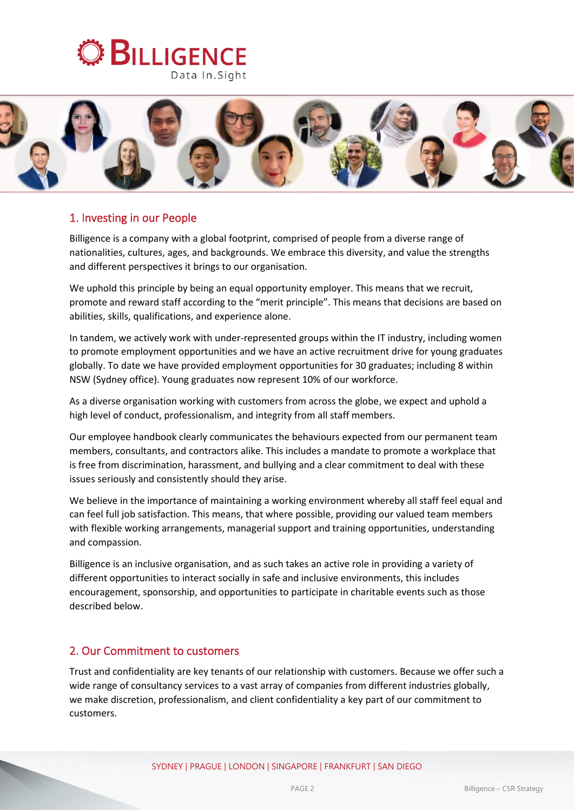



# 1. Investing in our People

Billigence is a company with a global footprint, comprised of people from a diverse range of nationalities, cultures, ages, and backgrounds. We embrace this diversity, and value the strengths and different perspectives it brings to our organisation.

We uphold this principle by being an equal opportunity employer. This means that we recruit, promote and reward staff according to the "merit principle". This means that decisions are based on abilities, skills, qualifications, and experience alone.

In tandem, we actively work with under-represented groups within the IT industry, including women to promote employment opportunities and we have an active recruitment drive for young graduates globally. To date we have provided employment opportunities for 30 graduates; including 8 within NSW (Sydney office). Young graduates now represent 10% of our workforce.

As a diverse organisation working with customers from across the globe, we expect and uphold a high level of conduct, professionalism, and integrity from all staff members.

Our employee handbook clearly communicates the behaviours expected from our permanent team members, consultants, and contractors alike. This includes a mandate to promote a workplace that is free from discrimination, harassment, and bullying and a clear commitment to deal with these issues seriously and consistently should they arise.

We believe in the importance of maintaining a working environment whereby all staff feel equal and can feel full job satisfaction. This means, that where possible, providing our valued team members with flexible working arrangements, managerial support and training opportunities, understanding and compassion.

Billigence is an inclusive organisation, and as such takes an active role in providing a variety of different opportunities to interact socially in safe and inclusive environments, this includes encouragement, sponsorship, and opportunities to participate in charitable events such as those described below.

## 2. Our Commitment to customers

Trust and confidentiality are key tenants of our relationship with customers. Because we offer such a wide range of consultancy services to a vast array of companies from different industries globally, we make discretion, professionalism, and client confidentiality a key part of our commitment to customers.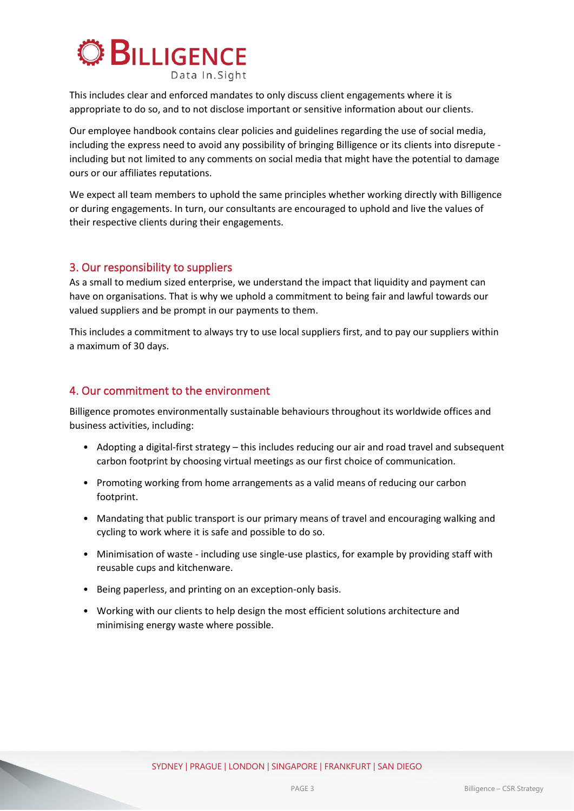

This includes clear and enforced mandates to only discuss client engagements where it is appropriate to do so, and to not disclose important or sensitive information about our clients.

Our employee handbook contains clear policies and guidelines regarding the use of social media, including the express need to avoid any possibility of bringing Billigence or its clients into disrepute including but not limited to any comments on social media that might have the potential to damage ours or our affiliates reputations.

We expect all team members to uphold the same principles whether working directly with Billigence or during engagements. In turn, our consultants are encouraged to uphold and live the values of their respective clients during their engagements.

### 3. Our responsibility to suppliers

As a small to medium sized enterprise, we understand the impact that liquidity and payment can have on organisations. That is why we uphold a commitment to being fair and lawful towards our valued suppliers and be prompt in our payments to them.

This includes a commitment to always try to use local suppliers first, and to pay our suppliers within a maximum of 30 days.

## 4. Our commitment to the environment

Billigence promotes environmentally sustainable behaviours throughout its worldwide offices and business activities, including:

- Adopting a digital-first strategy this includes reducing our air and road travel and subsequent carbon footprint by choosing virtual meetings as our first choice of communication.
- Promoting working from home arrangements as a valid means of reducing our carbon footprint.
- Mandating that public transport is our primary means of travel and encouraging walking and cycling to work where it is safe and possible to do so.
- Minimisation of waste including use single-use plastics, for example by providing staff with reusable cups and kitchenware.
- Being paperless, and printing on an exception-only basis.
- Working with our clients to help design the most efficient solutions architecture and minimising energy waste where possible.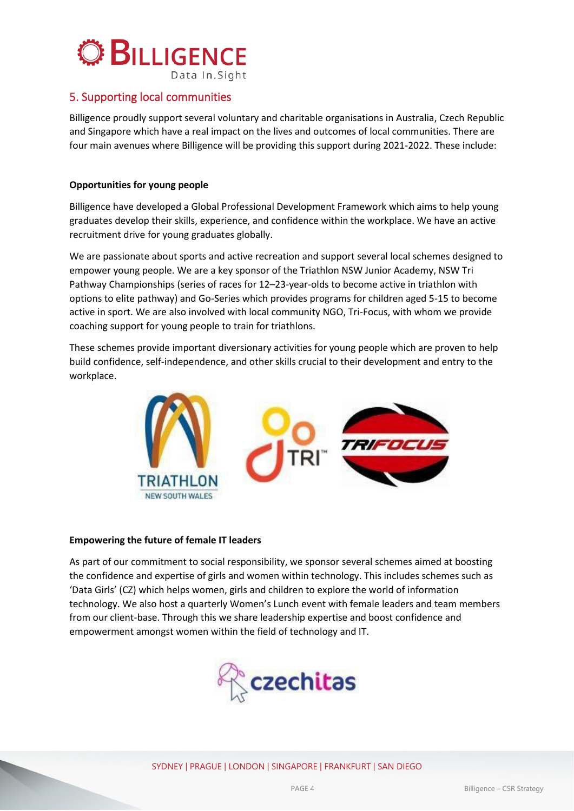

# 5. Supporting local communities

Billigence proudly support several voluntary and charitable organisations in Australia, Czech Republic and Singapore which have a real impact on the lives and outcomes of local communities. There are four main avenues where Billigence will be providing this support during 2021-2022. These include:

### **Opportunities for young people**

Billigence have developed a Global Professional Development Framework which aims to help young graduates develop their skills, experience, and confidence within the workplace. We have an active recruitment drive for young graduates globally.

We are passionate about sports and active recreation and support several local schemes designed to empower young people. We are a key sponsor of the Triathlon NSW Junior Academy, NSW Tri Pathway Championships (series of races for 12–23-year-olds to become active in triathlon with options to elite pathway) and Go-Series which provides programs for children aged 5-15 to become active in sport. We are also involved with local community NGO, Tri-Focus, with whom we provide coaching support for young people to train for triathlons.

These schemes provide important diversionary activities for young people which are proven to help build confidence, self-independence, and other skills crucial to their development and entry to the workplace.



#### **Empowering the future of female IT leaders**

As part of our commitment to social responsibility, we sponsor several schemes aimed at boosting the confidence and expertise of girls and women within technology. This includes schemes such as 'Data Girls' (CZ) which helps women, girls and children to explore the world of information technology. We also host a quarterly Women's Lunch event with female leaders and team members from our client-base. Through this we share leadership expertise and boost confidence and empowerment amongst women within the field of technology and IT.